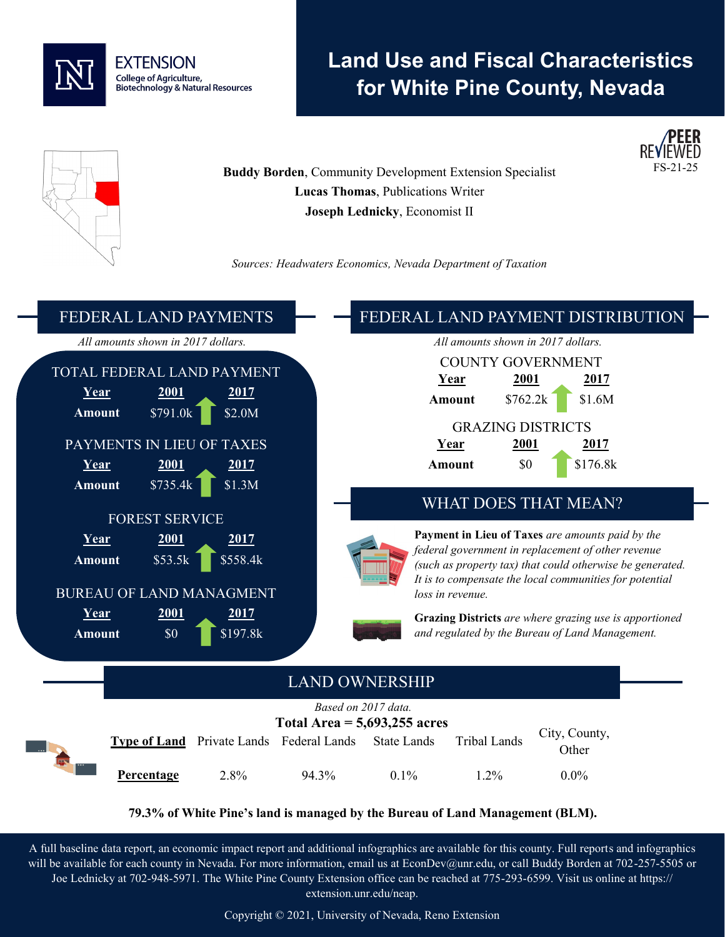

# **Land Use and Fiscal Characteristics for White Pine County, Nevada**



**Buddy Borden, Community Development Extension Specialist Lucas Thomas**, Publications Writer **Joseph Lednicky**, Economist II

*Sources: Headwaters Economics, Nevada Department of Taxation*



**79.3% of White Pine's land is managed by the Bureau of Land Management (BLM).**

A full baseline data report, an economic impact report and additional infographics are available for this county. Full reports and infographics will be available for each county in Nevada. For more information, email us at EconDev@unr.edu, or call Buddy Borden at 702-257-5505 or Joe Lednicky at 702-948-5971. The White Pine County Extension office can be reached at 775-293-6599. Visit us online at https:// extension.unr.edu/neap.

Copyright © 2021, University of Nevada, Reno Extension